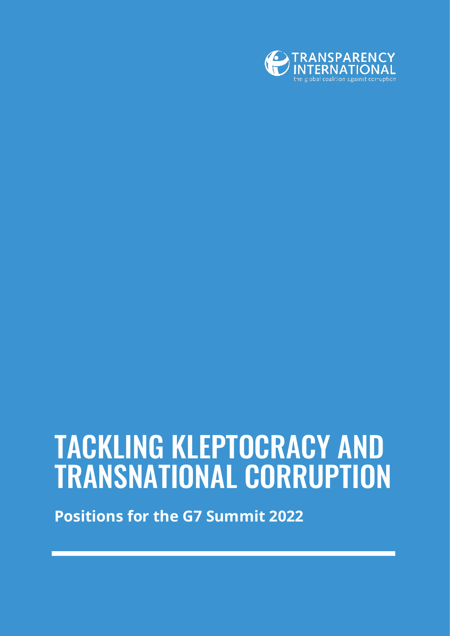

# TACKLING KLEPTOCRACY AND TRANSNATIONAL CORRUPTION

**Positions for the G7 Summit 2022**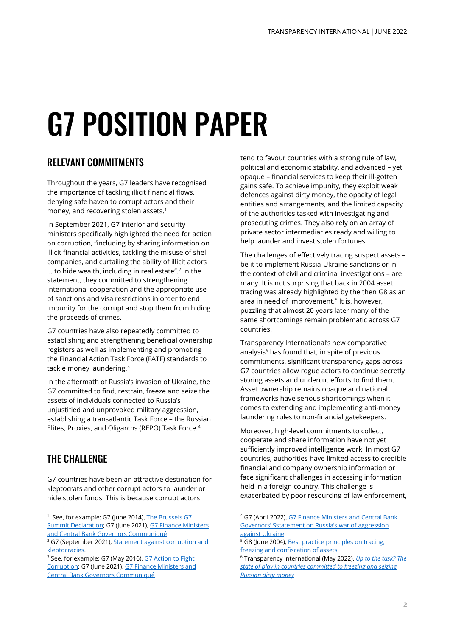# G7 POSITION PAPER

## RELEVANT COMMITMENTS

Throughout the years, G7 leaders have recognised the importance of tackling illicit financial flows, denying safe haven to corrupt actors and their money, and recovering stolen assets. 1

In September 2021, G7 interior and security ministers specifically highlighted the need for action on corruption, "including by sharing information on illicit financial activities, tackling the misuse of shell companies, and curtailing the ability of illicit actors … to hide wealth, including in real estate". 2 In the statement, they committed to strengthening international cooperation and the appropriate use of sanctions and visa restrictions in order to end impunity for the corrupt and stop them from hiding the proceeds of crimes.

G7 countries have also repeatedly committed to establishing and strengthening beneficial ownership registers as well as implementing and promoting the Financial Action Task Force (FATF) standards to tackle money laundering.<sup>3</sup>

In the aftermath of Russia's invasion of Ukraine, the G7 committed to find, restrain, freeze and seize the assets of individuals connected to Russia's unjustified and unprovoked military aggression, establishing a transatlantic Task Force – the Russian Elites, Proxies, and Oligarchs (REPO) Task Force.<sup>4</sup>

# THE CHALLENGE

G7 countries have been an attractive destination for kleptocrats and other corrupt actors to launder or hide stolen funds. This is because corrupt actors

tend to favour countries with a strong rule of law, political and economic stability, and advanced – yet opaque – financial services to keep their ill-gotten gains safe. To achieve impunity, they exploit weak defences against dirty money, the opacity of legal entities and arrangements, and the limited capacity of the authorities tasked with investigating and prosecuting crimes. They also rely on an array of private sector intermediaries ready and willing to help launder and invest stolen fortunes.

The challenges of effectively tracing suspect assets – be it to implement Russia-Ukraine sanctions or in the context of civil and criminal investigations – are many. It is not surprising that back in 2004 asset tracing was already highlighted by the then G8 as an area in need of improvement. 5 It is, however, puzzling that almost 20 years later many of the same shortcomings remain problematic across G7 countries.

Transparency International's new comparative analysis<sup>6</sup> has found that, in spite of previous commitments, significant transparency gaps across G7 countries allow rogue actors to continue secretly storing assets and undercut efforts to find them. Asset ownership remains opaque and national frameworks have serious shortcomings when it comes to extending and implementing anti-money laundering rules to non-financial gatekeepers.

Moreover, high-level commitments to collect, cooperate and share information have not yet sufficiently improved intelligence work. In most G7 countries, authorities have limited access to credible financial and company ownership information or face significant challenges in accessing information held in a foreign country. This challenge is exacerbated by poor resourcing of law enforcement,

<sup>&</sup>lt;sup>1</sup> See, for example: G7 (June 2014), The Brussels G7 [Summit Declaration;](https://ec.europa.eu/commission/presscorner/detail/en/MEMO_14_402) G7 (June 2021), G7 Finance Ministers [and Central Bank Governors Communiqué](https://www.gov.uk/government/publications/g7-finance-ministers-meeting-june-2021-communique/g7-finance-ministers-and-central-bank-governors-communique)

<sup>&</sup>lt;sup>2</sup> G7 (September 2021), **Statement against corruption and** [kleptocracies.](https://www.gov.uk/government/publications/g7-interior-and-security-ministers-meeting-september-2021/annex-3-statement-against-corruption-and-kleptocracies-accessible-version)

<sup>&</sup>lt;sup>3</sup> See, for example: G7 (May 2016), G7 Action to Fight [Corruption;](http://www.g7.utoronto.ca/summit/2016shima/action-plan-corruption-en.pdf) G7 (June 2021), [G7 Finance Ministers and](https://www.gov.uk/government/publications/g7-finance-ministers-meeting-june-2021-communique/g7-finance-ministers-and-central-bank-governors-communique)  [Central Bank Governors Communiqué](https://www.gov.uk/government/publications/g7-finance-ministers-meeting-june-2021-communique/g7-finance-ministers-and-central-bank-governors-communique)

<sup>4</sup> G7 (April 2022), [G7 Finance Ministers and Central Bank](https://www.mof.go.jp/english/policy/international_policy/convention/g7/g7_20220420.pdf)  Governors' Ss[tatement on Russia's war of aggression](https://www.mof.go.jp/english/policy/international_policy/convention/g7/g7_20220420.pdf)  [against Ukraine](https://www.mof.go.jp/english/policy/international_policy/convention/g7/g7_20220420.pdf)

<sup>&</sup>lt;sup>5</sup> G8 (June 2004), **Best practice principles on tracing**, [freezing and confiscation of](https://www.justice.gov/sites/default/files/ag/legacy/2004/06/03/G8_Best_Practices_on_Tracing.pdf) assets

<sup>6</sup> Transparency International (May 2022), *[Up to the task? The](https://www.transparency.org/en/publications/up-to-the-task-freezing-seizing-russia-dirty-money)  [state of play in countries committed to freezing and seizing](https://www.transparency.org/en/publications/up-to-the-task-freezing-seizing-russia-dirty-money)  [Russian dirty money](https://www.transparency.org/en/publications/up-to-the-task-freezing-seizing-russia-dirty-money)*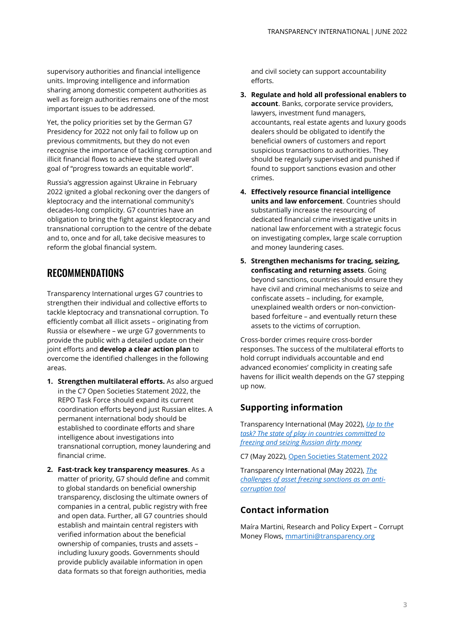supervisory authorities and financial intelligence units. Improving intelligence and information sharing among domestic competent authorities as well as foreign authorities remains one of the most important issues to be addressed.

Yet, the policy priorities set by the German G7 Presidency for 2022 not only fail to follow up on previous commitments, but they do not even recognise the importance of tackling corruption and illicit financial flows to achieve the stated overall goal of "progress towards an equitable world".

Russia's aggression against Ukraine in February 2022 ignited a global reckoning over the dangers of kleptocracy and the international community's decades-long complicity. G7 countries have an obligation to bring the fight against kleptocracy and transnational corruption to the centre of the debate and to, once and for all, take decisive measures to reform the global financial system.

### RECOMMENDATIONS

Transparency International urges G7 countries to strengthen their individual and collective efforts to tackle kleptocracy and transnational corruption. To efficiently combat all illicit assets – originating from Russia or elsewhere – we urge G7 governments to provide the public with a detailed update on their joint efforts and **develop a clear action plan** to overcome the identified challenges in the following areas.

- **1. Strengthen multilateral efforts.** As also argued in the C7 Open Societies Statement 2022, the REPO Task Force should expand its current coordination efforts beyond just Russian elites. A permanent international body should be established to coordinate efforts and share intelligence about investigations into transnational corruption, money laundering and financial crime.
- **2. Fast-track key transparency measures**. As a matter of priority, G7 should define and commit to global standards on beneficial ownership transparency, disclosing the ultimate owners of companies in a central, public registry with free and open data. Further, all G7 countries should establish and maintain central registers with verified information about the beneficial ownership of companies, trusts and assets – including luxury goods. Governments should provide publicly available information in open data formats so that foreign authorities, media

and civil society can support accountability efforts.

- **3. Regulate and hold all professional enablers to account**. Banks, corporate service providers, lawyers, investment fund managers, accountants, real estate agents and luxury goods dealers should be obligated to identify the beneficial owners of customers and report suspicious transactions to authorities. They should be regularly supervised and punished if found to support sanctions evasion and other crimes.
- **4. Effectively resource financial intelligence units and law enforcement**. Countries should substantially increase the resourcing of dedicated financial crime investigative units in national law enforcement with a strategic focus on investigating complex, large scale corruption and money laundering cases.
- **5. Strengthen mechanisms for tracing, seizing, confiscating and returning assets**. Going beyond sanctions, countries should ensure they have civil and criminal mechanisms to seize and confiscate assets – including, for example, unexplained wealth orders or non-convictionbased forfeiture – and eventually return these assets to the victims of corruption.

Cross-border crimes require cross-border responses. The success of the multilateral efforts to hold corrupt individuals accountable and end advanced economies' complicity in creating safe havens for illicit wealth depends on the G7 stepping up now.

### **Supporting information**

Transparency International (May 2022), *[Up to the](https://www.transparency.org/en/publications/up-to-the-task-freezing-seizing-russia-dirty-money)  [task? The state of play in countries committed to](https://www.transparency.org/en/publications/up-to-the-task-freezing-seizing-russia-dirty-money)  [freezing and seizing Russian dirty money](https://www.transparency.org/en/publications/up-to-the-task-freezing-seizing-russia-dirty-money)*

C7 (May 2022), [Open Societies Statement 2022](https://civil7.org/wp-content/uploads/2022/04/C7-Open-Societies-Statement.pdf)

Transparency International (May 2022), *[The](https://knowledgehub.transparency.org/helpdesk/the-challenges-of-asset-freezing-sanctions-as-an-anti-corruption-tool)  [challenges of asset freezing sanctions as an anti](https://knowledgehub.transparency.org/helpdesk/the-challenges-of-asset-freezing-sanctions-as-an-anti-corruption-tool)[corruption tool](https://knowledgehub.transparency.org/helpdesk/the-challenges-of-asset-freezing-sanctions-as-an-anti-corruption-tool)*

#### **Contact information**

Maíra Martini, Research and Policy Expert – Corrupt Money Flows[, mmartini@transparency.org](mailto:mmartini@transparency.org)